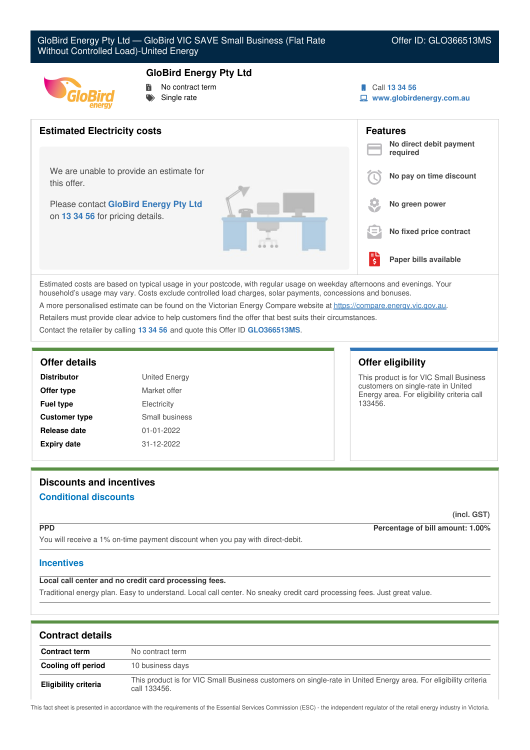

## **GloBird Energy Pty Ltd**

 No contract term Single rate

- Call **13 34 56**
- **www.globirdenergy.com.au**



Estimated costs are based on typical usage in your postcode, with regular usage on weekday afternoons and evenings. Your household's usage may vary. Costs exclude controlled load charges, solar payments, concessions and bonuses. A more personalised estimate can be found on the Victorian Energy Compare website at <https://compare.energy.vic.gov.au>. Retailers must provide clear advice to help customers find the offer that best suits their circumstances.

Contact the retailer by calling **13 34 56** and quote this Offer ID **GLO366513MS**.

| <b>Distributor</b>   | <b>United Energy</b> |
|----------------------|----------------------|
| Offer type           | Market offer         |
| <b>Fuel type</b>     | Electricity          |
| <b>Customer type</b> | Small business       |
| Release date         | $01 - 01 - 2022$     |
| <b>Expiry date</b>   | 31-12-2022           |

## **Offer details Offer eligibility**

This product is for VIC Small Business customers on single-rate in United Energy area. For eligibility criteria call 133456.

# **Discounts and incentives Conditional discounts**

**(incl. GST)**

**PPD Percentage of bill amount: 1.00%**

You will receive a 1% on-time payment discount when you pay with direct-debit.

## **Incentives**

**Local call center and no credit card processing fees.**

Traditional energy plan. Easy to understand. Local call center. No sneaky credit card processing fees. Just great value.

| <b>Contract details</b>     |                                                                                                                                 |
|-----------------------------|---------------------------------------------------------------------------------------------------------------------------------|
| <b>Contract term</b>        | No contract term                                                                                                                |
| Cooling off period          | 10 business days                                                                                                                |
| <b>Eligibility criteria</b> | This product is for VIC Small Business customers on single-rate in United Energy area. For eligibility criteria<br>call 133456. |

This fact sheet is presented in accordance with the requirements of the Essential Services Commission (ESC) - the independent regulator of the retail energy industry in Victoria.